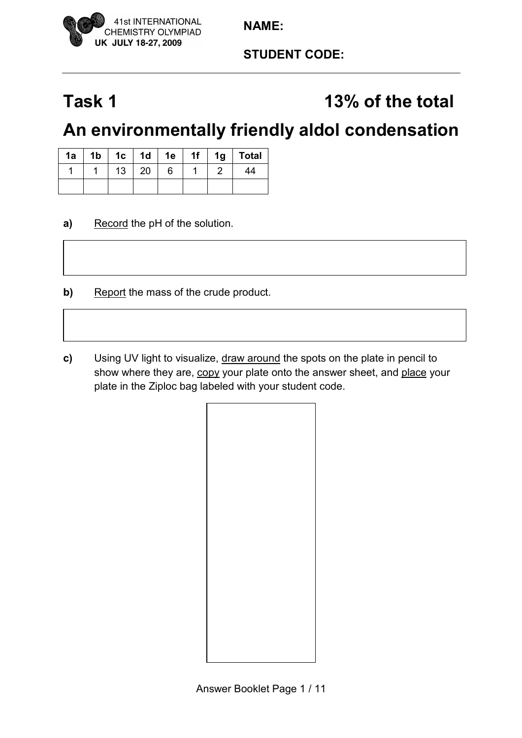

**STUDENT CODE:** 

# Task 1 13% of the total

## **An environmentally friendly aldol condensation**

| 1a | 1 <sub>b</sub> | 1 $c$ | 1d | 1e | 1f | 1 <sub>g</sub> | <b>Total</b> |
|----|----------------|-------|----|----|----|----------------|--------------|
|    |                | 13    | 20 | 6  |    |                |              |
|    |                |       |    |    |    |                |              |

- **a)** Record the pH of the solution.
- **b)** Report the mass of the crude product.
- **c)** Using UV light to visualize, draw around the spots on the plate in pencil to show where they are, copy your plate onto the answer sheet, and place your plate in the Ziploc bag labeled with your student code.

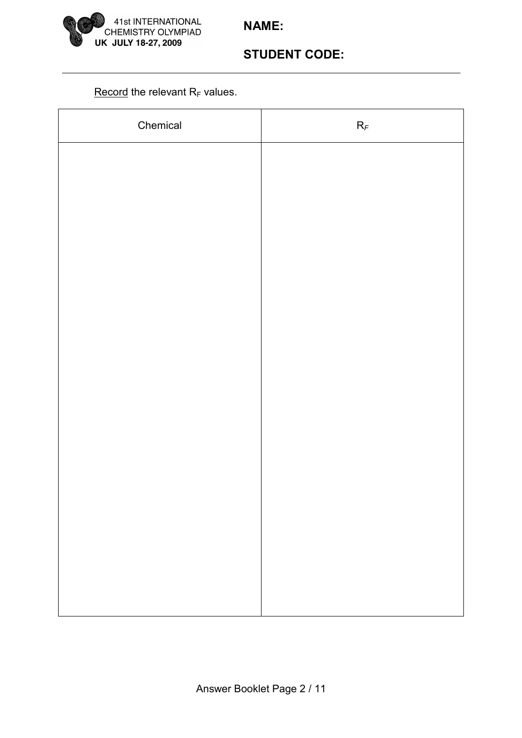

## **STUDENT CODE:**

#### Record the relevant  $R_F$  values.

| Chemical | $R_{\mathcal{F}}$ |
|----------|-------------------|
|          |                   |
|          |                   |
|          |                   |
|          |                   |
|          |                   |
|          |                   |
|          |                   |
|          |                   |
|          |                   |
|          |                   |
|          |                   |
|          |                   |
|          |                   |
|          |                   |
|          |                   |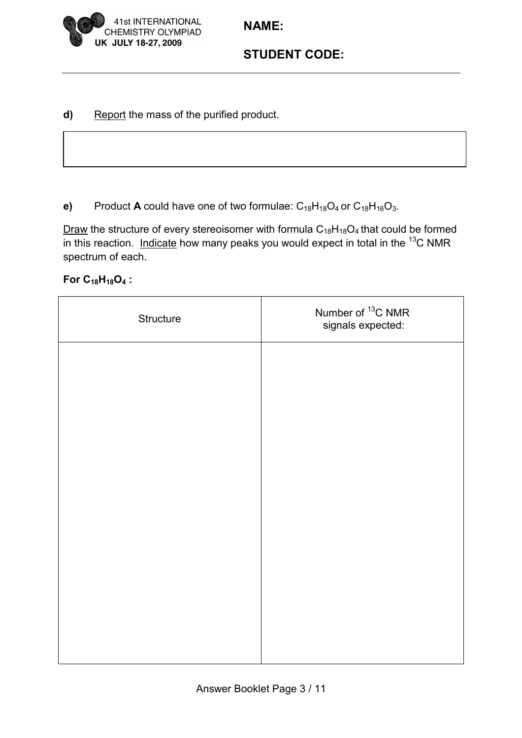

### **STUDENT CODE:**

**d)** Report the mass of the purified product.

**e)** Product **A** could have one of two formulae:  $C_{18}H_{18}O_4$  or  $C_{18}H_{16}O_3$ .

Draw the structure of every stereoisomer with formula  $C_{18}H_{18}O_4$  that could be formed in this reaction. Indicate how many peaks you would expect in total in the  $^{13}$ C NMR spectrum of each.

**For C18H18O4 :**

| Structure | Number of <sup>13</sup> C NMR<br>signals expected: |
|-----------|----------------------------------------------------|
|           |                                                    |
|           |                                                    |
|           |                                                    |
|           |                                                    |
|           |                                                    |
|           |                                                    |
|           |                                                    |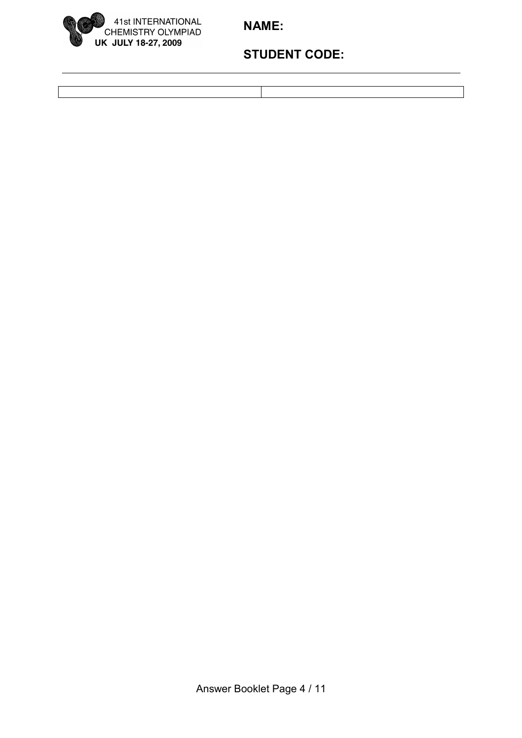

## **STUDENT CODE:**

Answer Booklet Page 4 / 11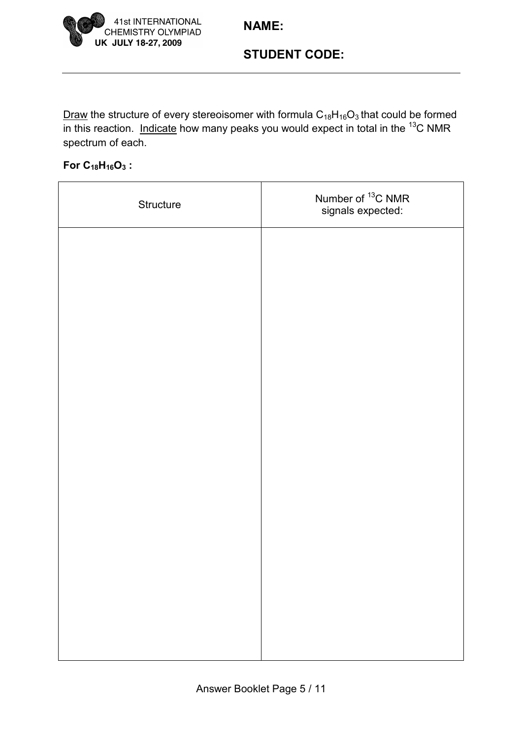

## **STUDENT CODE:**

Draw the structure of every stereoisomer with formula  $C_{18}H_{16}O_3$  that could be formed  $\overline{\text{in this}}$  reaction. Indicate how many peaks you would expect in total in the <sup>13</sup>C NMR spectrum of each.

#### **For C18H16O3 :**

| Structure | Number of <sup>13</sup> C NMR<br>signals expected: |
|-----------|----------------------------------------------------|
|           |                                                    |
|           |                                                    |
|           |                                                    |
|           |                                                    |
|           |                                                    |
|           |                                                    |
|           |                                                    |
|           |                                                    |
|           |                                                    |
|           |                                                    |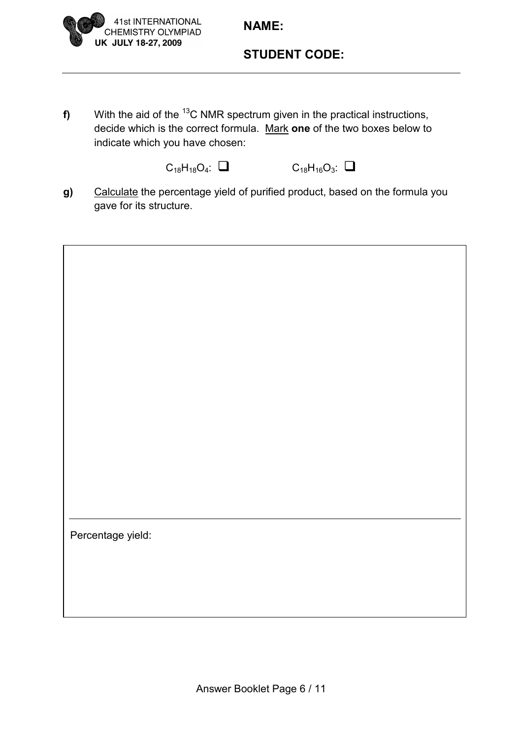

### **STUDENT CODE:**

**f)** With the aid of the <sup>13</sup>C NMR spectrum given in the practical instructions, decide which is the correct formula. Mark **one** of the two boxes below to indicate which you have chosen:

 $C_{18}H_{18}O_4$ :  $\Box$   $C_{18}H_{16}O_3$ :  $\Box$ 

**g)** Calculate the percentage yield of purified product, based on the formula you gave for its structure.

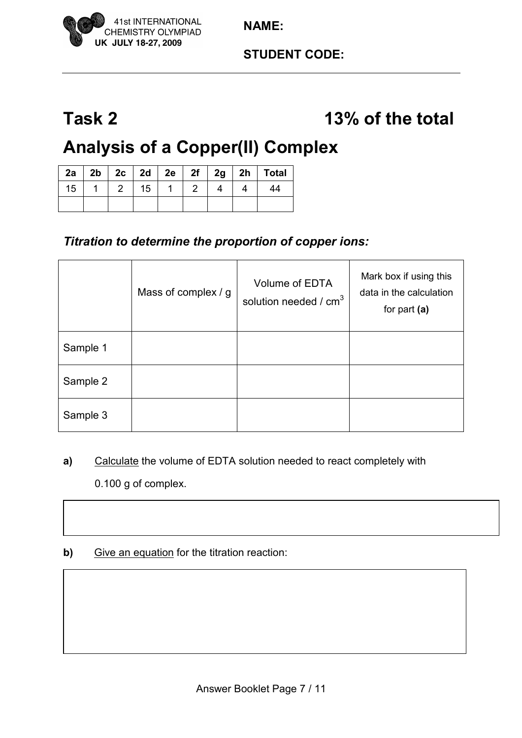## **Task 2 13% of the total**

# **Analysis of a Copper(II) Complex**

| 2a |  |    |   |  | 2b   2c   2d   2e   2f   2g   2h   Total |
|----|--|----|---|--|------------------------------------------|
| 15 |  | 15 | 2 |  | 44                                       |
|    |  |    |   |  |                                          |

## *Titration to determine the proportion of copper ions:*

|          | Mass of complex / g | Volume of EDTA<br>solution needed / $cm3$ | Mark box if using this<br>data in the calculation<br>for part $(a)$ |
|----------|---------------------|-------------------------------------------|---------------------------------------------------------------------|
| Sample 1 |                     |                                           |                                                                     |
| Sample 2 |                     |                                           |                                                                     |
| Sample 3 |                     |                                           |                                                                     |

- **a)** Calculate the volume of EDTA solution needed to react completely with 0.100 g of complex.
- **b)** Give an equation for the titration reaction: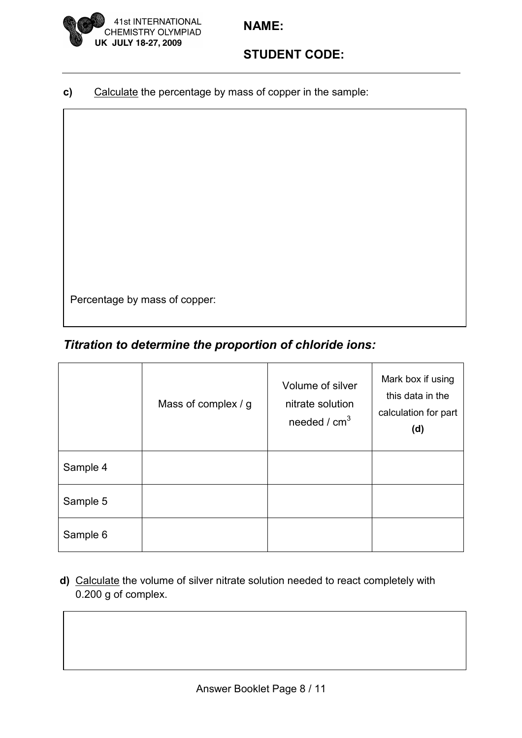

**c)** Calculate the percentage by mass of copper in the sample:

Percentage by mass of copper:

## *Titration to determine the proportion of chloride ions:*

|          | Mass of complex / g | Volume of silver<br>nitrate solution<br>needed / $cm3$ | Mark box if using<br>this data in the<br>calculation for part<br>(d) |
|----------|---------------------|--------------------------------------------------------|----------------------------------------------------------------------|
| Sample 4 |                     |                                                        |                                                                      |
| Sample 5 |                     |                                                        |                                                                      |
| Sample 6 |                     |                                                        |                                                                      |

**d)** Calculate the volume of silver nitrate solution needed to react completely with 0.200 g of complex.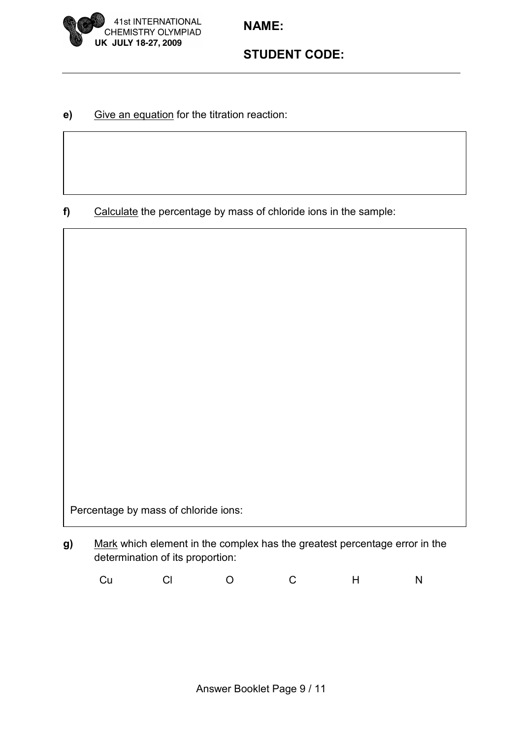



**e)** Give an equation for the titration reaction:

**f)** Calculate the percentage by mass of chloride ions in the sample:

Percentage by mass of chloride ions:

**g)** Mark which element in the complex has the greatest percentage error in the determination of its proportion:

Cu Cl O C H N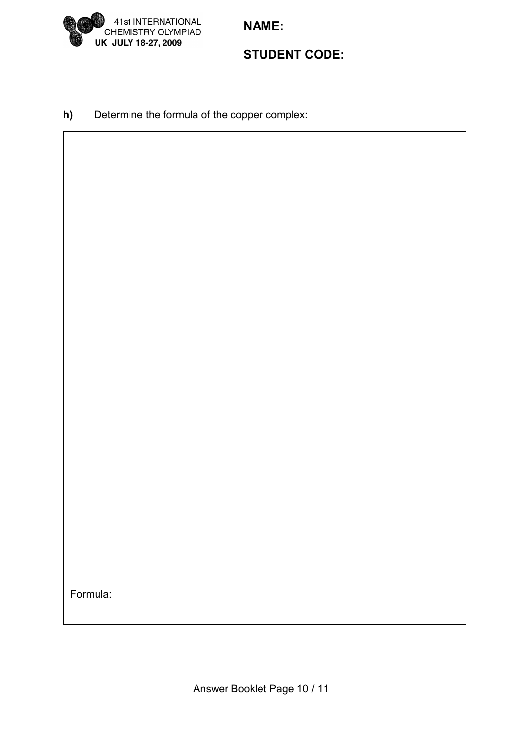



**h)** Determine the formula of the copper complex:

Formula: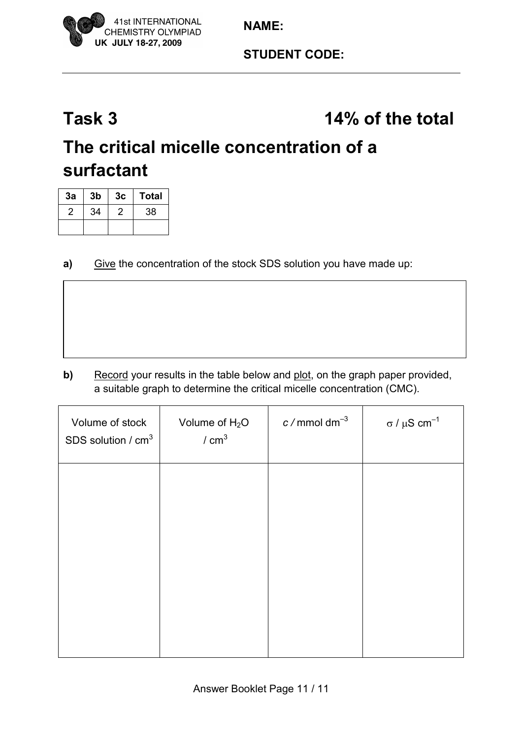

## **Task 3 14% of the total**

## **The critical micelle concentration of a surfactant**

| 3a | 3 <sub>b</sub> | 3c | <b>Total</b> |
|----|----------------|----|--------------|
| 2  | 34             | 2  | 38           |
|    |                |    |              |

**a)** Give the concentration of the stock SDS solution you have made up:

**b)** Record your results in the table below and plot, on the graph paper provided, a suitable graph to determine the critical micelle concentration (CMC).

| Volume of stock<br>SDS solution / cm <sup>3</sup> | Volume of $H_2O$<br>/ cm <sup>3</sup> | $c$ / mmol dm <sup>-3</sup> | $\sigma$ / $\mu$ S cm <sup>-1</sup> |
|---------------------------------------------------|---------------------------------------|-----------------------------|-------------------------------------|
|                                                   |                                       |                             |                                     |
|                                                   |                                       |                             |                                     |
|                                                   |                                       |                             |                                     |
|                                                   |                                       |                             |                                     |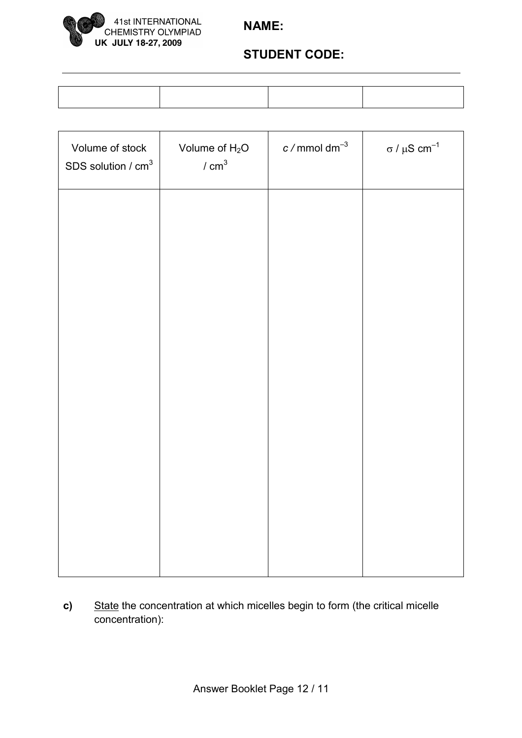

## **STUDENT CODE:**

| Volume of stock<br>SDS solution / $cm3$ | Volume of $H_2O$<br>/ cm <sup>3</sup> | $c/mmol$ dm <sup>-3</sup> | σ / μ $S$ cm <sup>-1</sup> |
|-----------------------------------------|---------------------------------------|---------------------------|----------------------------|
|                                         |                                       |                           |                            |
|                                         |                                       |                           |                            |
|                                         |                                       |                           |                            |
|                                         |                                       |                           |                            |
|                                         |                                       |                           |                            |
|                                         |                                       |                           |                            |
|                                         |                                       |                           |                            |

**c)** State the concentration at which micelles begin to form (the critical micelle concentration):